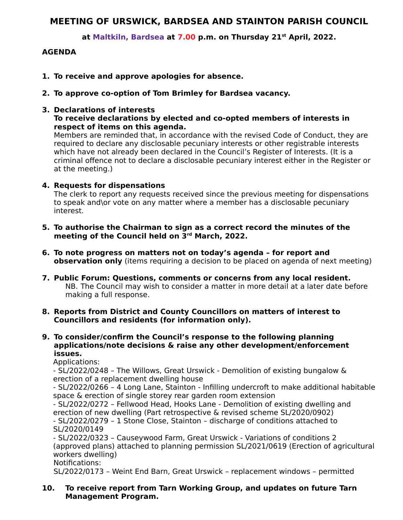# **MEETING OF URSWICK, BARDSEA AND STAINTON PARISH COUNCIL**

**at Maltkiln, Bardsea at 7.00 p.m. on Thursday 21st April, 2022.**

# **AGENDA**

- **1. To receive and approve apologies for absence.**
- **2. To approve co-option of Tom Brimley for Bardsea vacancy.**

#### **3. Declarations of interests To receive declarations by elected and co-opted members of interests in respect of items on this agenda.**

Members are reminded that, in accordance with the revised Code of Conduct, they are required to declare any disclosable pecuniary interests or other registrable interests which have not already been declared in the Council's Register of Interests. (It is a criminal offence not to declare a disclosable pecuniary interest either in the Register or at the meeting.)

#### **4. Requests for dispensations**

The clerk to report any requests received since the previous meeting for dispensations to speak and\or vote on any matter where a member has a disclosable pecuniary interest.

- **5. To authorise the Chairman to sign as a correct record the minutes of the meeting of the Council held on 3rd March, 2022.**
- **6. To note progress on matters not on today's agenda for report and observation only** (items requiring a decision to be placed on agenda of next meeting)
- **7. Public Forum: Questions, comments or concerns from any local resident.** NB. The Council may wish to consider a matter in more detail at a later date before making a full response.

### **8. Reports from District and County Councillors on matters of interest to Councillors and residents (for information only).**

**9. To consider/confirm the Council's response to the following planning applications/note decisions & raise any other development/enforcement issues.** 

Applications:

- SL/2022/0248 – The Willows, Great Urswick - Demolition of existing bungalow & erection of a replacement dwelling house

- SL/2022/0266 – 4 Long Lane, Stainton - Infilling undercroft to make additional habitable space & erection of single storey rear garden room extension

- SL/2022/0272 – Fellwood Head, Hooks Lane - Demolition of existing dwelling and erection of new dwelling (Part retrospective & revised scheme SL/2020/0902) - SL/2022/0279 – 1 Stone Close, Stainton – discharge of conditions attached to SL/2020/0149

- SL/2022/0323 – Causeywood Farm, Great Urswick - Variations of conditions 2 (approved plans) attached to planning permission SL/2021/0619 (Erection of agricultural workers dwelling)

Notifications:

SL/2022/0173 – Weint End Barn, Great Urswick – replacement windows – permitted

## **10. To receive report from Tarn Working Group, and updates on future Tarn Management Program.**